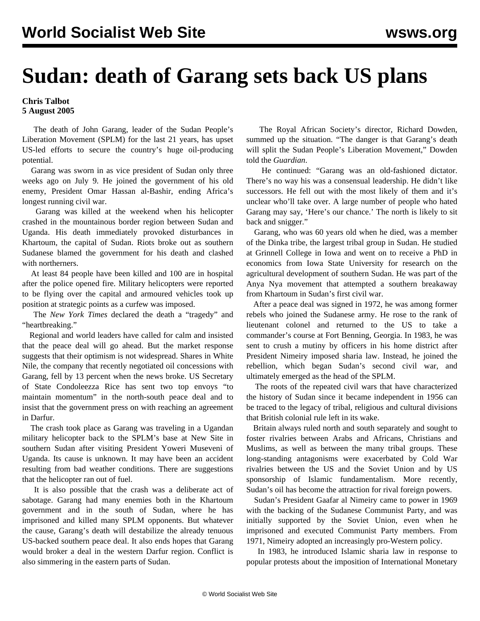## **Sudan: death of Garang sets back US plans**

## **Chris Talbot 5 August 2005**

 The death of John Garang, leader of the Sudan People's Liberation Movement (SPLM) for the last 21 years, has upset US-led efforts to secure the country's huge oil-producing potential.

 Garang was sworn in as vice president of Sudan only three weeks ago on July 9. He joined the government of his old enemy, President Omar Hassan al-Bashir, ending Africa's longest running civil war.

 Garang was killed at the weekend when his helicopter crashed in the mountainous border region between Sudan and Uganda. His death immediately provoked disturbances in Khartoum, the capital of Sudan. Riots broke out as southern Sudanese blamed the government for his death and clashed with northerners.

 At least 84 people have been killed and 100 are in hospital after the police opened fire. Military helicopters were reported to be flying over the capital and armoured vehicles took up position at strategic points as a curfew was imposed.

 The *New York Times* declared the death a "tragedy" and "heartbreaking."

 Regional and world leaders have called for calm and insisted that the peace deal will go ahead. But the market response suggests that their optimism is not widespread. Shares in White Nile, the company that recently negotiated oil concessions with Garang, fell by 13 percent when the news broke. US Secretary of State Condoleezza Rice has sent two top envoys "to maintain momentum" in the north-south peace deal and to insist that the government press on with reaching an agreement in Darfur.

 The crash took place as Garang was traveling in a Ugandan military helicopter back to the SPLM's base at New Site in southern Sudan after visiting President Yoweri Museveni of Uganda. Its cause is unknown. It may have been an accident resulting from bad weather conditions. There are suggestions that the helicopter ran out of fuel.

 It is also possible that the crash was a deliberate act of sabotage. Garang had many enemies both in the Khartoum government and in the south of Sudan, where he has imprisoned and killed many SPLM opponents. But whatever the cause, Garang's death will destabilize the already tenuous US-backed southern peace deal. It also ends hopes that Garang would broker a deal in the western Darfur region. Conflict is also simmering in the eastern parts of Sudan.

 The Royal African Society's director, Richard Dowden, summed up the situation. "The danger is that Garang's death will split the Sudan People's Liberation Movement," Dowden told the *Guardian*.

 He continued: "Garang was an old-fashioned dictator. There's no way his was a consensual leadership. He didn't like successors. He fell out with the most likely of them and it's unclear who'll take over. A large number of people who hated Garang may say, 'Here's our chance.' The north is likely to sit back and snigger."

 Garang, who was 60 years old when he died, was a member of the Dinka tribe, the largest tribal group in Sudan. He studied at Grinnell College in Iowa and went on to receive a PhD in economics from Iowa State University for research on the agricultural development of southern Sudan. He was part of the Anya Nya movement that attempted a southern breakaway from Khartoum in Sudan's first civil war.

 After a peace deal was signed in 1972, he was among former rebels who joined the Sudanese army. He rose to the rank of lieutenant colonel and returned to the US to take a commander's course at Fort Benning, Georgia. In 1983, he was sent to crush a mutiny by officers in his home district after President Nimeiry imposed sharia law. Instead, he joined the rebellion, which began Sudan's second civil war, and ultimately emerged as the head of the SPLM.

 The roots of the repeated civil wars that have characterized the history of Sudan since it became independent in 1956 can be traced to the legacy of tribal, religious and cultural divisions that British colonial rule left in its wake.

 Britain always ruled north and south separately and sought to foster rivalries between Arabs and Africans, Christians and Muslims, as well as between the many tribal groups. These long-standing antagonisms were exacerbated by Cold War rivalries between the US and the Soviet Union and by US sponsorship of Islamic fundamentalism. More recently, Sudan's oil has become the attraction for rival foreign powers.

 Sudan's President Gaafar al Nimeiry came to power in 1969 with the backing of the Sudanese Communist Party, and was initially supported by the Soviet Union, even when he imprisoned and executed Communist Party members. From 1971, Nimeiry adopted an increasingly pro-Western policy.

 In 1983, he introduced Islamic sharia law in response to popular protests about the imposition of International Monetary